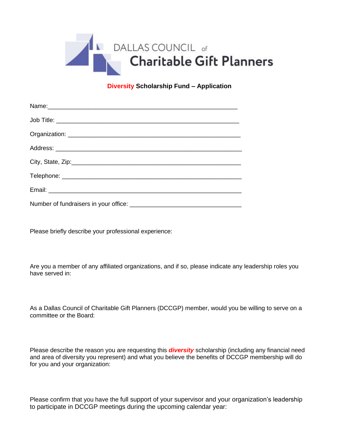

#### **Diversity Scholarship Fund – Application**

Please briefly describe your professional experience:

Are you a member of any affiliated organizations, and if so, please indicate any leadership roles you have served in:

As a Dallas Council of Charitable Gift Planners (DCCGP) member, would you be willing to serve on a committee or the Board:

Please describe the reason you are requesting this *diversity* scholarship (including any financial need and area of diversity you represent) and what you believe the benefits of DCCGP membership will do for you and your organization:

Please confirm that you have the full support of your supervisor and your organization's leadership to participate in DCCGP meetings during the upcoming calendar year: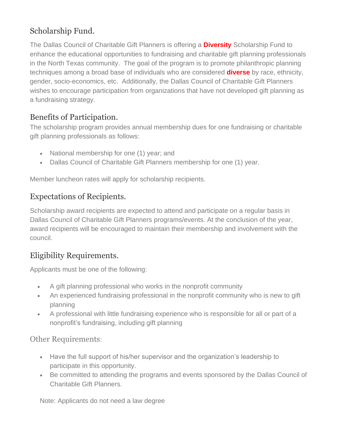## Scholarship Fund.

The Dallas Council of Charitable Gift Planners is offering a **Diversity** Scholarship Fund to enhance the educational opportunities to fundraising and charitable gift planning professionals in the North Texas community. The goal of the program is to promote philanthropic planning techniques among a broad base of individuals who are considered **diverse** by race, ethnicity, gender, socio-economics, etc. Additionally, the Dallas Council of Charitable Gift Planners wishes to encourage participation from organizations that have not developed gift planning as a fundraising strategy.

### Benefits of Participation.

The scholarship program provides annual membership dues for one fundraising or charitable gift planning professionals as follows:

- National membership for one (1) year; and
- Dallas Council of Charitable Gift Planners membership for one (1) year.

Member luncheon rates will apply for scholarship recipients.

### Expectations of Recipients.

Scholarship award recipients are expected to attend and participate on a regular basis in Dallas Council of Charitable Gift Planners programs/events. At the conclusion of the year, award recipients will be encouraged to maintain their membership and involvement with the council.

## Eligibility Requirements.

Applicants must be one of the following:

- A gift planning professional who works in the nonprofit community
- An experienced fundraising professional in the nonprofit community who is new to gift planning
- A professional with little fundraising experience who is responsible for all or part of a nonprofit's fundraising, including gift planning

Other Requirements:

- Have the full support of his/her supervisor and the organization's leadership to participate in this opportunity.
- Be committed to attending the programs and events sponsored by the Dallas Council of Charitable Gift Planners.

Note: Applicants do not need a law degree